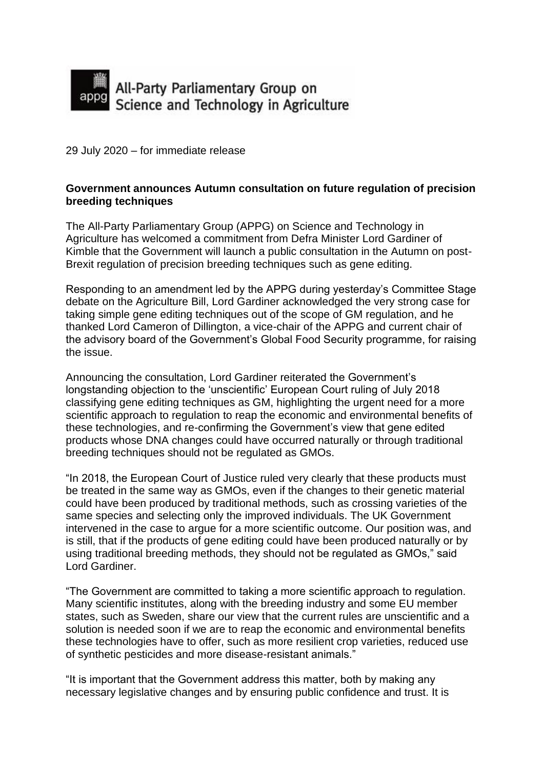

29 July 2020 – for immediate release

## **Government announces Autumn consultation on future regulation of precision breeding techniques**

The All-Party Parliamentary Group (APPG) on Science and Technology in Agriculture has welcomed a commitment from Defra Minister Lord Gardiner of Kimble that the Government will launch a public consultation in the Autumn on post-Brexit regulation of precision breeding techniques such as gene editing.

Responding to an amendment led by the APPG during yesterday's Committee Stage debate on the Agriculture Bill, Lord Gardiner acknowledged the very strong case for taking simple gene editing techniques out of the scope of GM regulation, and he thanked Lord Cameron of Dillington, a vice-chair of the APPG and current chair of the advisory board of the Government's Global Food Security programme, for raising the issue.

Announcing the consultation, Lord Gardiner reiterated the Government's longstanding objection to the 'unscientific' European Court ruling of July 2018 classifying gene editing techniques as GM, highlighting the urgent need for a more scientific approach to regulation to reap the economic and environmental benefits of these technologies, and re-confirming the Government's view that gene edited products whose DNA changes could have occurred naturally or through traditional breeding techniques should not be regulated as GMOs.

"In 2018, the European Court of Justice ruled very clearly that these products must be treated in the same way as GMOs, even if the changes to their genetic material could have been produced by traditional methods, such as crossing varieties of the same species and selecting only the improved individuals. The UK Government intervened in the case to argue for a more scientific outcome. Our position was, and is still, that if the products of gene editing could have been produced naturally or by using traditional breeding methods, they should not be regulated as GMOs," said Lord Gardiner.

"The Government are committed to taking a more scientific approach to regulation. Many scientific institutes, along with the breeding industry and some EU member states, such as Sweden, share our view that the current rules are unscientific and a solution is needed soon if we are to reap the economic and environmental benefits these technologies have to offer, such as more resilient crop varieties, reduced use of synthetic pesticides and more disease-resistant animals."

"It is important that the Government address this matter, both by making any necessary legislative changes and by ensuring public confidence and trust. It is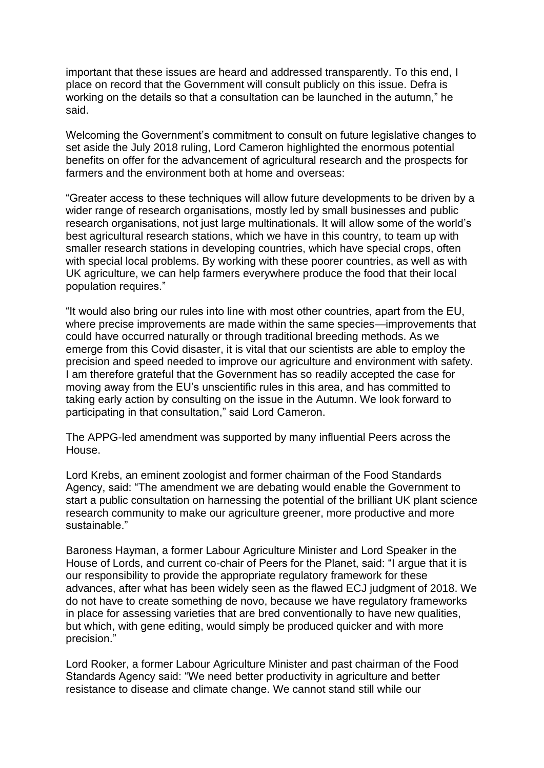important that these issues are heard and addressed transparently. To this end, I place on record that the Government will consult publicly on this issue. Defra is working on the details so that a consultation can be launched in the autumn," he said.

Welcoming the Government's commitment to consult on future legislative changes to set aside the July 2018 ruling, Lord Cameron highlighted the enormous potential benefits on offer for the advancement of agricultural research and the prospects for farmers and the environment both at home and overseas:

"Greater access to these techniques will allow future developments to be driven by a wider range of research organisations, mostly led by small businesses and public research organisations, not just large multinationals. It will allow some of the world's best agricultural research stations, which we have in this country, to team up with smaller research stations in developing countries, which have special crops, often with special local problems. By working with these poorer countries, as well as with UK agriculture, we can help farmers everywhere produce the food that their local population requires."

"It would also bring our rules into line with most other countries, apart from the EU, where precise improvements are made within the same species—improvements that could have occurred naturally or through traditional breeding methods. As we emerge from this Covid disaster, it is vital that our scientists are able to employ the precision and speed needed to improve our agriculture and environment with safety. I am therefore grateful that the Government has so readily accepted the case for moving away from the EU's unscientific rules in this area, and has committed to taking early action by consulting on the issue in the Autumn. We look forward to participating in that consultation," said Lord Cameron.

The APPG-led amendment was supported by many influential Peers across the House.

Lord Krebs, an eminent zoologist and former chairman of the Food Standards Agency, said: "The amendment we are debating would enable the Government to start a public consultation on harnessing the potential of the brilliant UK plant science research community to make our agriculture greener, more productive and more sustainable."

Baroness Hayman, a former Labour Agriculture Minister and Lord Speaker in the House of Lords, and current co-chair of Peers for the Planet, said: "I argue that it is our responsibility to provide the appropriate regulatory framework for these advances, after what has been widely seen as the flawed ECJ judgment of 2018. We do not have to create something de novo, because we have regulatory frameworks in place for assessing varieties that are bred conventionally to have new qualities, but which, with gene editing, would simply be produced quicker and with more precision."

Lord Rooker, a former Labour Agriculture Minister and past chairman of the Food Standards Agency said: "We need better productivity in agriculture and better resistance to disease and climate change. We cannot stand still while our